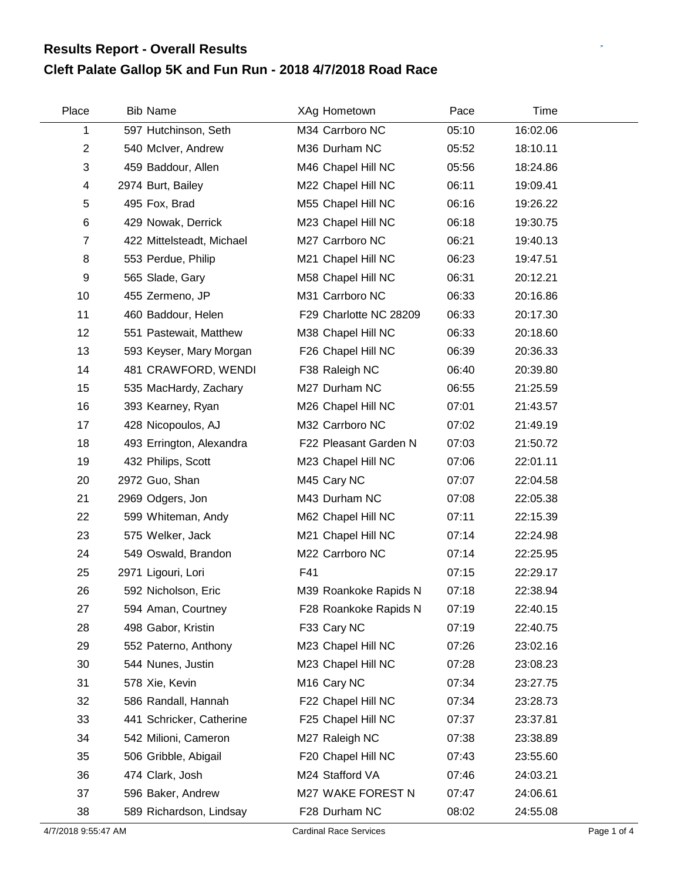## **Cleft Palate Gallop 5K and Fun Run - 2018 4/7/2018 Road Race Results Report - Overall Results**

| Place          | <b>Bib Name</b>           | XAg Hometown            | Pace  | Time     |  |
|----------------|---------------------------|-------------------------|-------|----------|--|
| 1              | 597 Hutchinson, Seth      | M34 Carrboro NC         | 05:10 | 16:02.06 |  |
| $\overline{c}$ | 540 McIver, Andrew        | M36 Durham NC           | 05:52 | 18:10.11 |  |
| 3              | 459 Baddour, Allen        | M46 Chapel Hill NC      | 05:56 | 18:24.86 |  |
| 4              | 2974 Burt, Bailey         | M22 Chapel Hill NC      | 06:11 | 19:09.41 |  |
| 5              | 495 Fox, Brad             | M55 Chapel Hill NC      | 06:16 | 19:26.22 |  |
| 6              | 429 Nowak, Derrick        | M23 Chapel Hill NC      | 06:18 | 19:30.75 |  |
| $\overline{7}$ | 422 Mittelsteadt, Michael | M27 Carrboro NC         | 06:21 | 19:40.13 |  |
| 8              | 553 Perdue, Philip        | M21 Chapel Hill NC      | 06:23 | 19:47.51 |  |
| 9              | 565 Slade, Gary           | M58 Chapel Hill NC      | 06:31 | 20:12.21 |  |
| 10             | 455 Zermeno, JP           | M31 Carrboro NC         | 06:33 | 20:16.86 |  |
| 11             | 460 Baddour, Helen        | F29 Charlotte NC 28209  | 06:33 | 20:17.30 |  |
| 12             | 551 Pastewait, Matthew    | M38 Chapel Hill NC      | 06:33 | 20:18.60 |  |
| 13             | 593 Keyser, Mary Morgan   | F26 Chapel Hill NC      | 06:39 | 20:36.33 |  |
| 14             | 481 CRAWFORD, WENDI       | F38 Raleigh NC          | 06:40 | 20:39.80 |  |
| 15             | 535 MacHardy, Zachary     | M27 Durham NC           | 06:55 | 21:25.59 |  |
| 16             | 393 Kearney, Ryan         | M26 Chapel Hill NC      | 07:01 | 21:43.57 |  |
| 17             | 428 Nicopoulos, AJ        | M32 Carrboro NC         | 07:02 | 21:49.19 |  |
| 18             | 493 Errington, Alexandra  | F22 Pleasant Garden N   | 07:03 | 21:50.72 |  |
| 19             | 432 Philips, Scott        | M23 Chapel Hill NC      | 07:06 | 22:01.11 |  |
| 20             | 2972 Guo, Shan            | M45 Cary NC             | 07:07 | 22:04.58 |  |
| 21             | 2969 Odgers, Jon          | M43 Durham NC           | 07:08 | 22:05.38 |  |
| 22             | 599 Whiteman, Andy        | M62 Chapel Hill NC      | 07:11 | 22:15.39 |  |
| 23             | 575 Welker, Jack          | M21 Chapel Hill NC      | 07:14 | 22:24.98 |  |
| 24             | 549 Oswald, Brandon       | M22 Carrboro NC         | 07:14 | 22:25.95 |  |
| 25             | 2971 Ligouri, Lori        | F41                     | 07:15 | 22:29.17 |  |
| 26             | 592 Nicholson, Eric       | M39 Roankoke Rapids N   | 07:18 | 22:38.94 |  |
| 27             | 594 Aman, Courtney        | F28 Roankoke Rapids N   | 07:19 | 22:40.15 |  |
| 28             | 498 Gabor, Kristin        | F33 Cary NC             | 07:19 | 22:40.75 |  |
| 29             | 552 Paterno, Anthony      | M23 Chapel Hill NC      | 07:26 | 23:02.16 |  |
| 30             | 544 Nunes, Justin         | M23 Chapel Hill NC      | 07:28 | 23:08.23 |  |
| 31             | 578 Xie, Kevin            | M <sub>16</sub> Cary NC | 07:34 | 23:27.75 |  |
| 32             | 586 Randall, Hannah       | F22 Chapel Hill NC      | 07:34 | 23:28.73 |  |
| 33             | 441 Schricker, Catherine  | F25 Chapel Hill NC      | 07:37 | 23:37.81 |  |
| 34             | 542 Milioni, Cameron      | M27 Raleigh NC          | 07:38 | 23:38.89 |  |
| 35             | 506 Gribble, Abigail      | F20 Chapel Hill NC      | 07:43 | 23:55.60 |  |
| 36             | 474 Clark, Josh           | M24 Stafford VA         | 07:46 | 24:03.21 |  |
| 37             | 596 Baker, Andrew         | M27 WAKE FOREST N       | 07:47 | 24:06.61 |  |
| 38             | 589 Richardson, Lindsay   | F28 Durham NC           | 08:02 | 24:55.08 |  |

 $\mathbb{R}^2$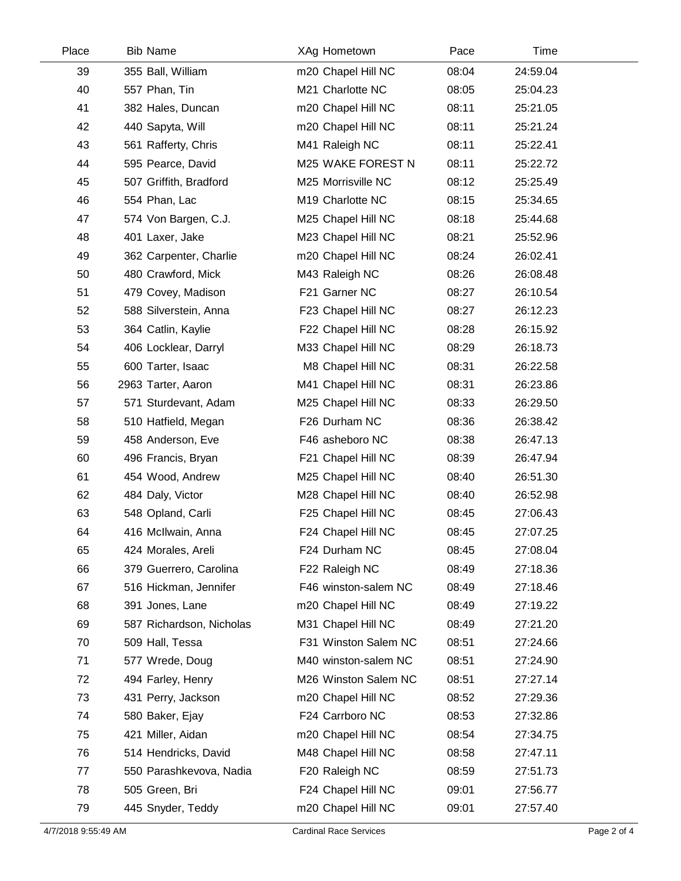| Place | <b>Bib Name</b>          | XAg Hometown         | Pace  | Time     |  |
|-------|--------------------------|----------------------|-------|----------|--|
| 39    | 355 Ball, William        | m20 Chapel Hill NC   | 08:04 | 24:59.04 |  |
| 40    | 557 Phan, Tin            | M21 Charlotte NC     | 08:05 | 25:04.23 |  |
| 41    | 382 Hales, Duncan        | m20 Chapel Hill NC   | 08:11 | 25:21.05 |  |
| 42    | 440 Sapyta, Will         | m20 Chapel Hill NC   | 08:11 | 25:21.24 |  |
| 43    | 561 Rafferty, Chris      | M41 Raleigh NC       | 08:11 | 25:22.41 |  |
| 44    | 595 Pearce, David        | M25 WAKE FOREST N    | 08:11 | 25:22.72 |  |
| 45    | 507 Griffith, Bradford   | M25 Morrisville NC   | 08:12 | 25:25.49 |  |
| 46    | 554 Phan, Lac            | M19 Charlotte NC     | 08:15 | 25:34.65 |  |
| 47    | 574 Von Bargen, C.J.     | M25 Chapel Hill NC   | 08:18 | 25:44.68 |  |
| 48    | 401 Laxer, Jake          | M23 Chapel Hill NC   | 08:21 | 25:52.96 |  |
| 49    | 362 Carpenter, Charlie   | m20 Chapel Hill NC   | 08:24 | 26:02.41 |  |
| 50    | 480 Crawford, Mick       | M43 Raleigh NC       | 08:26 | 26:08.48 |  |
| 51    | 479 Covey, Madison       | F21 Garner NC        | 08:27 | 26:10.54 |  |
| 52    | 588 Silverstein, Anna    | F23 Chapel Hill NC   | 08:27 | 26:12.23 |  |
| 53    | 364 Catlin, Kaylie       | F22 Chapel Hill NC   | 08:28 | 26:15.92 |  |
| 54    | 406 Locklear, Darryl     | M33 Chapel Hill NC   | 08:29 | 26:18.73 |  |
| 55    | 600 Tarter, Isaac        | M8 Chapel Hill NC    | 08:31 | 26:22.58 |  |
| 56    | 2963 Tarter, Aaron       | M41 Chapel Hill NC   | 08:31 | 26:23.86 |  |
| 57    | 571 Sturdevant, Adam     | M25 Chapel Hill NC   | 08:33 | 26:29.50 |  |
| 58    | 510 Hatfield, Megan      | F26 Durham NC        | 08:36 | 26:38.42 |  |
| 59    | 458 Anderson, Eve        | F46 asheboro NC      | 08:38 | 26:47.13 |  |
| 60    | 496 Francis, Bryan       | F21 Chapel Hill NC   | 08:39 | 26:47.94 |  |
| 61    | 454 Wood, Andrew         | M25 Chapel Hill NC   | 08:40 | 26:51.30 |  |
| 62    | 484 Daly, Victor         | M28 Chapel Hill NC   | 08:40 | 26:52.98 |  |
| 63    | 548 Opland, Carli        | F25 Chapel Hill NC   | 08:45 | 27:06.43 |  |
| 64    | 416 McIlwain, Anna       | F24 Chapel Hill NC   | 08:45 | 27:07.25 |  |
| 65    | 424 Morales, Areli       | F24 Durham NC        | 08:45 | 27:08.04 |  |
| 66    | 379 Guerrero, Carolina   | F22 Raleigh NC       | 08:49 | 27:18.36 |  |
| 67    | 516 Hickman, Jennifer    | F46 winston-salem NC | 08:49 | 27:18.46 |  |
| 68    | 391 Jones, Lane          | m20 Chapel Hill NC   | 08:49 | 27:19.22 |  |
| 69    | 587 Richardson, Nicholas | M31 Chapel Hill NC   | 08:49 | 27:21.20 |  |
| 70    | 509 Hall, Tessa          | F31 Winston Salem NC | 08:51 | 27:24.66 |  |
| 71    | 577 Wrede, Doug          | M40 winston-salem NC | 08:51 | 27:24.90 |  |
| 72    | 494 Farley, Henry        | M26 Winston Salem NC | 08:51 | 27:27.14 |  |
| 73    | 431 Perry, Jackson       | m20 Chapel Hill NC   | 08:52 | 27:29.36 |  |
| 74    | 580 Baker, Ejay          | F24 Carrboro NC      | 08:53 | 27:32.86 |  |
| 75    | 421 Miller, Aidan        | m20 Chapel Hill NC   | 08:54 | 27:34.75 |  |
| 76    | 514 Hendricks, David     | M48 Chapel Hill NC   | 08:58 | 27:47.11 |  |
| 77    | 550 Parashkevova, Nadia  | F20 Raleigh NC       | 08:59 | 27:51.73 |  |
| 78    | 505 Green, Bri           | F24 Chapel Hill NC   | 09:01 | 27:56.77 |  |
| 79    | 445 Snyder, Teddy        | m20 Chapel Hill NC   | 09:01 | 27:57.40 |  |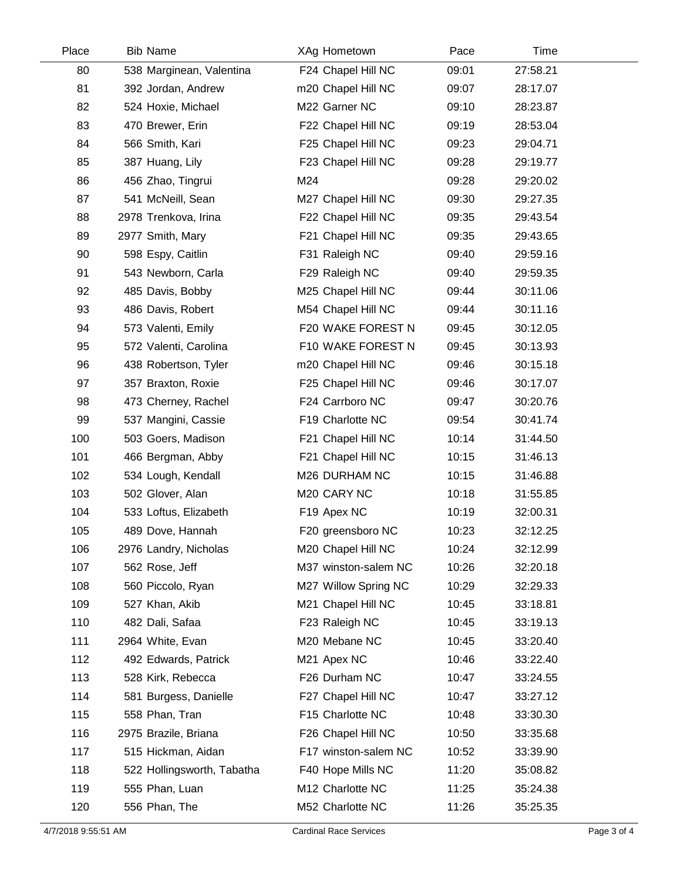| Place | <b>Bib Name</b>            | XAg Hometown         | Pace  | Time     |  |
|-------|----------------------------|----------------------|-------|----------|--|
| 80    | 538 Marginean, Valentina   | F24 Chapel Hill NC   | 09:01 | 27:58.21 |  |
| 81    | 392 Jordan, Andrew         | m20 Chapel Hill NC   | 09:07 | 28:17.07 |  |
| 82    | 524 Hoxie, Michael         | M22 Garner NC        | 09:10 | 28:23.87 |  |
| 83    | 470 Brewer, Erin           | F22 Chapel Hill NC   | 09:19 | 28:53.04 |  |
| 84    | 566 Smith, Kari            | F25 Chapel Hill NC   | 09:23 | 29:04.71 |  |
| 85    | 387 Huang, Lily            | F23 Chapel Hill NC   | 09:28 | 29:19.77 |  |
| 86    | 456 Zhao, Tingrui          | M24                  | 09:28 | 29:20.02 |  |
| 87    | 541 McNeill, Sean          | M27 Chapel Hill NC   | 09:30 | 29:27.35 |  |
| 88    | 2978 Trenkova, Irina       | F22 Chapel Hill NC   | 09:35 | 29:43.54 |  |
| 89    | 2977 Smith, Mary           | F21 Chapel Hill NC   | 09:35 | 29:43.65 |  |
| 90    | 598 Espy, Caitlin          | F31 Raleigh NC       | 09:40 | 29:59.16 |  |
| 91    | 543 Newborn, Carla         | F29 Raleigh NC       | 09:40 | 29:59.35 |  |
| 92    | 485 Davis, Bobby           | M25 Chapel Hill NC   | 09:44 | 30:11.06 |  |
| 93    | 486 Davis, Robert          | M54 Chapel Hill NC   | 09:44 | 30:11.16 |  |
| 94    | 573 Valenti, Emily         | F20 WAKE FOREST N    | 09:45 | 30:12.05 |  |
| 95    | 572 Valenti, Carolina      | F10 WAKE FOREST N    | 09:45 | 30:13.93 |  |
| 96    | 438 Robertson, Tyler       | m20 Chapel Hill NC   | 09:46 | 30:15.18 |  |
| 97    | 357 Braxton, Roxie         | F25 Chapel Hill NC   | 09:46 | 30:17.07 |  |
| 98    | 473 Cherney, Rachel        | F24 Carrboro NC      | 09:47 | 30:20.76 |  |
| 99    | 537 Mangini, Cassie        | F19 Charlotte NC     | 09:54 | 30:41.74 |  |
| 100   | 503 Goers, Madison         | F21 Chapel Hill NC   | 10:14 | 31:44.50 |  |
| 101   | 466 Bergman, Abby          | F21 Chapel Hill NC   | 10:15 | 31:46.13 |  |
| 102   | 534 Lough, Kendall         | M26 DURHAM NC        | 10:15 | 31:46.88 |  |
| 103   | 502 Glover, Alan           | M20 CARY NC          | 10:18 | 31:55.85 |  |
| 104   | 533 Loftus, Elizabeth      | F19 Apex NC          | 10:19 | 32:00.31 |  |
| 105   | 489 Dove, Hannah           | F20 greensboro NC    | 10:23 | 32:12.25 |  |
| 106   | 2976 Landry, Nicholas      | M20 Chapel Hill NC   | 10:24 | 32:12.99 |  |
| 107   | 562 Rose, Jeff             | M37 winston-salem NC | 10:26 | 32:20.18 |  |
| 108   | 560 Piccolo, Ryan          | M27 Willow Spring NC | 10:29 | 32:29.33 |  |
| 109   | 527 Khan, Akib             | M21 Chapel Hill NC   | 10:45 | 33:18.81 |  |
| 110   | 482 Dali, Safaa            | F23 Raleigh NC       | 10:45 | 33:19.13 |  |
| 111   | 2964 White, Evan           | M20 Mebane NC        | 10:45 | 33:20.40 |  |
| 112   | 492 Edwards, Patrick       | M21 Apex NC          | 10:46 | 33:22.40 |  |
| 113   | 528 Kirk, Rebecca          | F26 Durham NC        | 10:47 | 33:24.55 |  |
| 114   | 581 Burgess, Danielle      | F27 Chapel Hill NC   | 10:47 | 33:27.12 |  |
| 115   | 558 Phan, Tran             | F15 Charlotte NC     | 10:48 | 33:30.30 |  |
| 116   | 2975 Brazile, Briana       | F26 Chapel Hill NC   | 10:50 | 33:35.68 |  |
| 117   | 515 Hickman, Aidan         | F17 winston-salem NC | 10:52 | 33:39.90 |  |
| 118   | 522 Hollingsworth, Tabatha | F40 Hope Mills NC    | 11:20 | 35:08.82 |  |
| 119   | 555 Phan, Luan             | M12 Charlotte NC     | 11:25 | 35:24.38 |  |
| 120   | 556 Phan, The              | M52 Charlotte NC     | 11:26 | 35:25.35 |  |